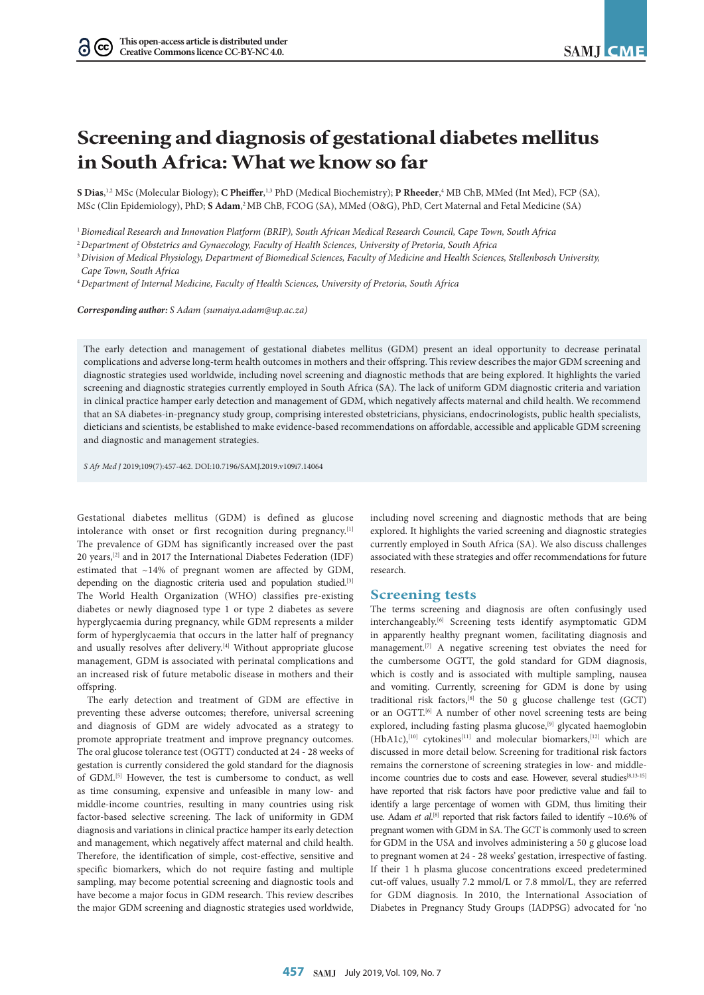$(cc)$ 

# **Screening and diagnosis of gestational diabetes mellitus in South Africa: What we know so far**

**S Dias**, 1,2 MSc (Molecular Biology); **C Pheiffer**, 1,3 PhD (Medical Biochemistry); **P Rheeder**, 4 MB ChB, MMed (Int Med), FCP (SA), MSc (Clin Epidemiology), PhD; **S Adam**, 2 MB ChB, FCOG (SA), MMed (O&G), PhD, Cert Maternal and Fetal Medicine (SA)

<sup>1</sup>*Biomedical Research and Innovation Platform (BRIP), South African Medical Research Council, Cape Town, South Africa*

<sup>2</sup>*Department of Obstetrics and Gynaecology, Faculty of Health Sciences, University of Pretoria, South Africa*

<sup>3</sup>*Division of Medical Physiology, Department of Biomedical Sciences, Faculty of Medicine and Health Sciences, Stellenbosch University, Cape Town, South Africa*

<sup>4</sup>*Department of Internal Medicine, Faculty of Health Sciences, University of Pretoria, South Africa*

*Corresponding author: S Adam (sumaiya.adam@up.ac.za)*

The early detection and management of gestational diabetes mellitus (GDM) present an ideal opportunity to decrease perinatal complications and adverse long-term health outcomes in mothers and their offspring. This review describes the major GDM screening and diagnostic strategies used worldwide, including novel screening and diagnostic methods that are being explored. It highlights the varied screening and diagnostic strategies currently employed in South Africa (SA). The lack of uniform GDM diagnostic criteria and variation in clinical practice hamper early detection and management of GDM, which negatively affects maternal and child health. We recommend that an SA diabetes-in-pregnancy study group, comprising interested obstetricians, physicians, endocrinologists, public health specialists, dieticians and scientists, be established to make evidence-based recommendations on affordable, accessible and applicable GDM screening and diagnostic and management strategies.

*S Afr Med J* 2019;109(7):457-462. DOI:10.7196/SAMJ.2019.v109i7.14064

Gestational diabetes mellitus (GDM) is defined as glucose intolerance with onset or first recognition during pregnancy.<sup>[1]</sup> The prevalence of GDM has significantly increased over the past 20 years,[2] and in 2017 the International Diabetes Federation (IDF) estimated that ~14% of pregnant women are affected by GDM, depending on the diagnostic criteria used and population studied.<sup>[3]</sup> The World Health Organization (WHO) classifies pre-existing diabetes or newly diagnosed type 1 or type 2 diabetes as severe hyperglycaemia during pregnancy, while GDM represents a milder form of hyperglycaemia that occurs in the latter half of pregnancy and usually resolves after delivery.<sup>[4]</sup> Without appropriate glucose management, GDM is associated with perinatal complications and an increased risk of future metabolic disease in mothers and their offspring.

The early detection and treatment of GDM are effective in preventing these adverse outcomes; therefore, universal screening and diagnosis of GDM are widely advocated as a strategy to promote appropriate treatment and improve pregnancy outcomes. The oral glucose tolerance test (OGTT) conducted at 24 - 28 weeks of gestation is currently considered the gold standard for the diagnosis of GDM.[5] However, the test is cumbersome to conduct, as well as time consuming, expensive and unfeasible in many low- and middle-income countries, resulting in many countries using risk factor-based selective screening. The lack of uniformity in GDM diagnosis and variations in clinical practice hamper its early detection and management, which negatively affect maternal and child health. Therefore, the identification of simple, cost-effective, sensitive and specific biomarkers, which do not require fasting and multiple sampling, may become potential screening and diagnostic tools and have become a major focus in GDM research. This review describes the major GDM screening and diagnostic strategies used worldwide,

including novel screening and diagnostic methods that are being explored. It highlights the varied screening and diagnostic strategies currently employed in South Africa (SA). We also discuss challenges associated with these strategies and offer recommendations for future research.

#### **Screening tests**

The terms screening and diagnosis are often confusingly used interchangeably.[6] Screening tests identify asymptomatic GDM in apparently healthy pregnant women, facilitating diagnosis and management.<br/> $\left[^{7}\right]$  A negative screening test obviates the need for the cumbersome OGTT, the gold standard for GDM diagnosis, which is costly and is associated with multiple sampling, nausea and vomiting. Currently, screening for GDM is done by using traditional risk factors,[8] the 50 g glucose challenge test (GCT) or an OGTT.[6] A number of other novel screening tests are being explored, including fasting plasma glucose,<sup>[9]</sup> glycated haemoglobin  $(HbA1c)$ ,<sup>[10]</sup> cytokines<sup>[11]</sup> and molecular biomarkers,<sup>[12]</sup> which are discussed in more detail below. Screening for traditional risk factors remains the cornerstone of screening strategies in low- and middleincome countries due to costs and ease. However, several studies<sup>[8,13-15]</sup> have reported that risk factors have poor predictive value and fail to identify a large percentage of women with GDM, thus limiting their use. Adam *et al.*<sup>[8]</sup> reported that risk factors failed to identify  $\sim$ 10.6% of pregnant women with GDM in SA. The GCT is commonly used to screen for GDM in the USA and involves administering a 50 g glucose load to pregnant women at 24 - 28 weeks' gestation, irrespective of fasting. If their 1 h plasma glucose concentrations exceed predetermined cut-off values, usually 7.2 mmol/L or 7.8 mmol/L, they are referred for GDM diagnosis. In 2010, the International Association of Diabetes in Pregnancy Study Groups (IADPSG) advocated for 'no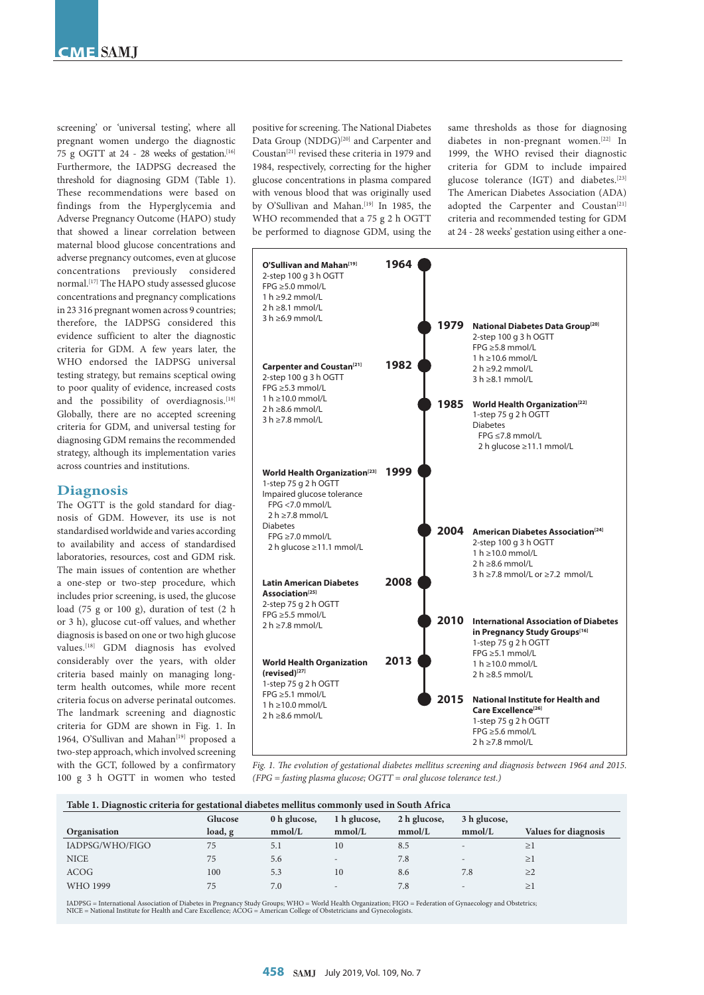screening' or 'universal testing', where all pregnant women undergo the diagnostic 75 g OGTT at 24 - 28 weeks of gestation.[16] Furthermore, the IADPSG decreased the threshold for diagnosing GDM (Table 1). These recommendations were based on findings from the Hyperglycemia and Adverse Pregnancy Outcome (HAPO) study that showed a linear correlation between maternal blood glucose concentrations and adverse pregnancy outcomes, even at glucose concentrations previously considered normal.[17] The HAPO study assessed glucose concentrations and pregnancy complications in 23 316 pregnant women across 9 countries; therefore, the IADPSG considered this evidence sufficient to alter the diagnostic criteria for GDM. A few years later, the WHO endorsed the IADPSG universal testing strategy, but remains sceptical owing to poor quality of evidence, increased costs and the possibility of overdiagnosis.[18] Globally, there are no accepted screening criteria for GDM, and universal testing for diagnosing GDM remains the recommended strategy, although its implementation varies across countries and institutions.

# **Diagnosis**

The OGTT is the gold standard for diagnosis of GDM. However, its use is not standardised worldwide and varies according to availability and access of standardised laboratories, resources, cost and GDM risk. The main issues of contention are whether a one-step or two-step procedure, which includes prior screening, is used, the glucose load (75 g or 100 g), duration of test (2 h or 3 h), glucose cut-off values, and whether diagnosis is based on one or two high glucose values.[18] GDM diagnosis has evolved considerably over the years, with older criteria based mainly on managing longterm health outcomes, while more recent criteria focus on adverse perinatal outcomes. The landmark screening and diagnostic criteria for GDM are shown in Fig. 1. In 1964, O'Sullivan and Mahan<sup>[19]</sup> proposed a two-step approach, which involved screening with the GCT, followed by a confirmatory 100 g 3 h OGTT in women who tested positive for screening. The National Diabetes Data Group (NDDG)<sup>[20]</sup> and Carpenter and Coustan[21] revised these criteria in 1979 and 1984, respectively, correcting for the higher glucose concentrations in plasma compared with venous blood that was originally used by O'Sullivan and Mahan.<sup>[19]</sup> In 1985, the WHO recommended that a 75 g 2 h OGTT be performed to diagnose GDM, using the

same thresholds as those for diagnosing diabetes in non-pregnant women.<sup>[22]</sup> In 1999, the WHO revised their diagnostic criteria for GDM to include impaired glucose tolerance (IGT) and diabetes.<sup>[23]</sup> The American Diabetes Association (ADA) adopted the Carpenter and Coustan<sup>[21]</sup> criteria and recommended testing for GDM at 24 - 28 weeks' gestation using either a one-



*Fig. 1. The evolution of gestational diabetes mellitus screening and diagnosis between 1964 and 2015. (FPG = fasting plasma glucose; OGTT = oral glucose tolerance test.)*

| Table 1. Diagnostic criteria for gestational diabetes mellitus commonly used in South Africa |         |              |                          |              |                          |                             |  |  |  |
|----------------------------------------------------------------------------------------------|---------|--------------|--------------------------|--------------|--------------------------|-----------------------------|--|--|--|
|                                                                                              | Glucose | 0 h glucose, | 1 h glucose,             | 2 h glucose, | 3 h glucose,             |                             |  |  |  |
| Organisation                                                                                 | load, g | mmol/L       | mmol/L                   | mmol/L       | mmol/L                   | <b>Values for diagnosis</b> |  |  |  |
| IADPSG/WHO/FIGO                                                                              | 75      | 5.1          | 10                       | 8.5          | $\overline{\phantom{a}}$ | $\geq$ 1                    |  |  |  |
| <b>NICE</b>                                                                                  | 75      | 5.6          | $\overline{\phantom{a}}$ | 7.8          | -                        | >1                          |  |  |  |
| <b>ACOG</b>                                                                                  | 100     | 5.3          | 10                       | 8.6          | 7.8                      | >2                          |  |  |  |
| WHO 1999                                                                                     | 75      | 7.0          | $\overline{\phantom{a}}$ | 7.8          | -                        | $\geq$ 1                    |  |  |  |

IADPSG = International Association of Diabetes in Pregnancy Study Groups; WHO = World Health Organization; FIGO = Federation of Gynaecology and Obstetrics;<br>NICE = National Institute for Health and Care Excellence; ACOG = A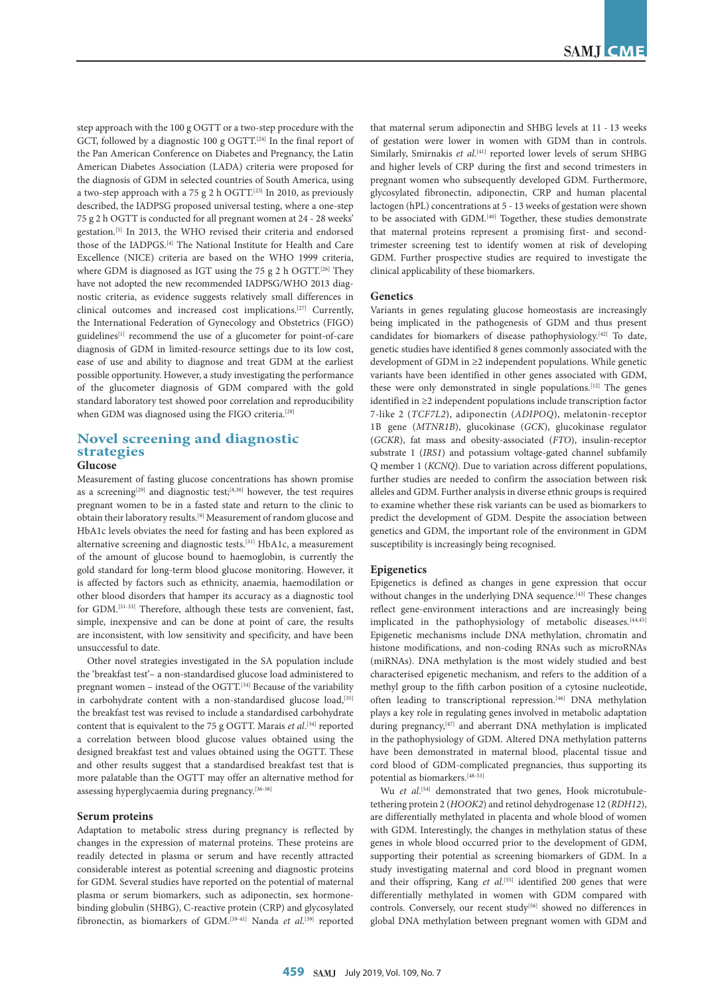step approach with the 100 g OGTT or a two-step procedure with the GCT, followed by a diagnostic 100 g OGTT.<sup>[24]</sup> In the final report of the Pan American Conference on Diabetes and Pregnancy, the Latin American Diabetes Association (LADA) criteria were proposed for the diagnosis of GDM in selected countries of South America, using a two-step approach with a 75 g 2 h OGTT.<sup>[25]</sup> In 2010, as previously described, the IADPSG proposed universal testing, where a one-step 75 g 2 h OGTT is conducted for all pregnant women at 24 - 28 weeks' gestation.[5] In 2013, the WHO revised their criteria and endorsed those of the IADPGS.[4] The National Institute for Health and Care Excellence (NICE) criteria are based on the WHO 1999 criteria, where GDM is diagnosed as IGT using the 75 g 2 h OGTT.<sup>[26]</sup> They have not adopted the new recommended IADPSG/WHO 2013 diagnostic criteria, as evidence suggests relatively small differences in clinical outcomes and increased cost implications.[27] Currently, the International Federation of Gynecology and Obstetrics (FIGO) guidelines<sup>[1]</sup> recommend the use of a glucometer for point-of-care diagnosis of GDM in limited-resource settings due to its low cost, ease of use and ability to diagnose and treat GDM at the earliest possible opportunity. However, a study investigating the performance of the glucometer diagnosis of GDM compared with the gold standard laboratory test showed poor correlation and reproducibility when GDM was diagnosed using the FIGO criteria.<sup>[28]</sup>

# **Novel screening and diagnostic strategies**

## **Glucose**

Measurement of fasting glucose concentrations has shown promise as a screening<sup>[29]</sup> and diagnostic test;<sup>[8,30]</sup> however, the test requires pregnant women to be in a fasted state and return to the clinic to obtain their laboratory results.[9] Measurement of random glucose and HbA1c levels obviates the need for fasting and has been explored as alternative screening and diagnostic tests.[31] HbA1c, a measurement of the amount of glucose bound to haemoglobin, is currently the gold standard for long-term blood glucose monitoring. However, it is affected by factors such as ethnicity, anaemia, haemodilation or other blood disorders that hamper its accuracy as a diagnostic tool for GDM.[31-33] Therefore, although these tests are convenient, fast, simple, inexpensive and can be done at point of care, the results are inconsistent, with low sensitivity and specificity, and have been unsuccessful to date.

Other novel strategies investigated in the SA population include the 'breakfast test'– a non-standardised glucose load administered to pregnant women – instead of the OGTT.<sup>[34]</sup> Because of the variability in carbohydrate content with a non-standardised glucose load,<sup>[35]</sup> the breakfast test was revised to include a standardised carbohydrate content that is equivalent to the 75 g OGTT. Marais *et al*.<sup>[34]</sup> reported a correlation between blood glucose values obtained using the designed breakfast test and values obtained using the OGTT. These and other results suggest that a standardised breakfast test that is more palatable than the OGTT may offer an alternative method for assessing hyperglycaemia during pregnancy.[36-38]

#### **Serum proteins**

Adaptation to metabolic stress during pregnancy is reflected by changes in the expression of maternal proteins. These proteins are readily detected in plasma or serum and have recently attracted considerable interest as potential screening and diagnostic proteins for GDM. Several studies have reported on the potential of maternal plasma or serum biomarkers, such as adiponectin, sex hormonebinding globulin (SHBG), C-reactive protein (CRP) and glycosylated fibronectin, as biomarkers of GDM.<sup>[39-41]</sup> Nanda *et al*.<sup>[39]</sup> reported that maternal serum adiponectin and SHBG levels at 11 - 13 weeks of gestation were lower in women with GDM than in controls. Similarly, Smirnakis et al.<sup>[41]</sup> reported lower levels of serum SHBG and higher levels of CRP during the first and second trimesters in pregnant women who subsequently developed GDM. Furthermore, glycosylated fibronectin, adiponectin, CRP and human placental lactogen (hPL) concentrations at 5 - 13 weeks of gestation were shown to be associated with GDM.<sup>[40]</sup> Together, these studies demonstrate that maternal proteins represent a promising first- and secondtrimester screening test to identify women at risk of developing GDM. Further prospective studies are required to investigate the clinical applicability of these biomarkers.

#### **Genetics**

Variants in genes regulating glucose homeostasis are increasingly being implicated in the pathogenesis of GDM and thus present candidates for biomarkers of disease pathophysiology.[42] To date, genetic studies have identified 8 genes commonly associated with the development of GDM in ≥2 independent populations. While genetic variants have been identified in other genes associated with GDM, these were only demonstrated in single populations.[12] The genes identified in ≥2 independent populations include transcription factor 7-like 2 (*TCF7L2*), adiponectin (*ADIPOQ*), melatonin-receptor 1B gene (*MTNR1B*), glucokinase (*GCK*), glucokinase regulator (*GCKR*), fat mass and obesity-associated (*FTO*), insulin-receptor substrate 1 (*IRS1*) and potassium voltage-gated channel subfamily Q member 1 (*KCNQ*). Due to variation across different populations, further studies are needed to confirm the association between risk alleles and GDM. Further analysis in diverse ethnic groups is required to examine whether these risk variants can be used as biomarkers to predict the development of GDM. Despite the association between genetics and GDM, the important role of the environment in GDM susceptibility is increasingly being recognised.

#### **Epigenetics**

Epigenetics is defined as changes in gene expression that occur without changes in the underlying DNA sequence.<sup>[43]</sup> These changes reflect gene-environment interactions and are increasingly being implicated in the pathophysiology of metabolic diseases.<sup>[44,45]</sup> Epigenetic mechanisms include DNA methylation, chromatin and histone modifications, and non-coding RNAs such as microRNAs (miRNAs). DNA methylation is the most widely studied and best characterised epigenetic mechanism, and refers to the addition of a methyl group to the fifth carbon position of a cytosine nucleotide, often leading to transcriptional repression.<sup>[46]</sup> DNA methylation plays a key role in regulating genes involved in metabolic adaptation during pregnancy,<sup>[47]</sup> and aberrant DNA methylation is implicated in the pathophysiology of GDM. Altered DNA methylation patterns have been demonstrated in maternal blood, placental tissue and cord blood of GDM-complicated pregnancies, thus supporting its potential as biomarkers.[48-53]

Wu et al.<sup>[54]</sup> demonstrated that two genes, Hook microtubuletethering protein 2 (*HOOK2*) and retinol dehydrogenase 12 (*RDH12*), are differentially methylated in placenta and whole blood of women with GDM. Interestingly, the changes in methylation status of these genes in whole blood occurred prior to the development of GDM, supporting their potential as screening biomarkers of GDM. In a study investigating maternal and cord blood in pregnant women and their offspring, Kang et al.<sup>[55]</sup> identified 200 genes that were differentially methylated in women with GDM compared with controls. Conversely, our recent study<sup>[56]</sup> showed no differences in global DNA methylation between pregnant women with GDM and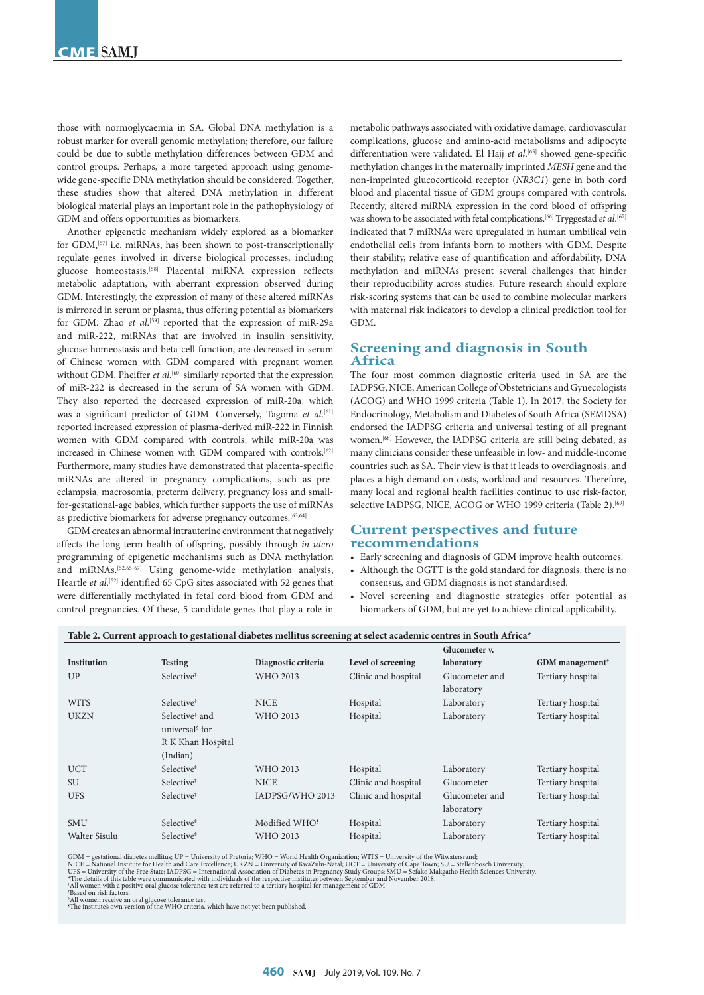those with normoglycaemia in SA. Global DNA methylation is a robust marker for overall genomic methylation; therefore, our failure could be due to subtle methylation differences between GDM and control groups. Perhaps, a more targeted approach using genomewide gene-specific DNA methylation should be considered. Together, these studies show that altered DNA methylation in different biological material plays an important role in the pathophysiology of GDM and offers opportunities as biomarkers.

Another epigenetic mechanism widely explored as a biomarker for GDM,<sup>[57]</sup> i.e. miRNAs, has been shown to post-transcriptionally regulate genes involved in diverse biological processes, including glucose homeostasis.[58] Placental miRNA expression reflects metabolic adaptation, with aberrant expression observed during GDM. Interestingly, the expression of many of these altered miRNAs is mirrored in serum or plasma, thus offering potential as biomarkers for GDM. Zhao *et al*.<sup>[59]</sup> reported that the expression of miR-29a and miR-222, miRNAs that are involved in insulin sensitivity, glucose homeostasis and beta-cell function, are decreased in serum of Chinese women with GDM compared with pregnant women without GDM. Pheiffer *et al*. [60] similarly reported that the expression of miR-222 is decreased in the serum of SA women with GDM. They also reported the decreased expression of miR-20a, which was a significant predictor of GDM. Conversely, Tagoma *et al*. [61] reported increased expression of plasma-derived miR-222 in Finnish women with GDM compared with controls, while miR-20a was increased in Chinese women with GDM compared with controls.<sup>[62]</sup> Furthermore, many studies have demonstrated that placenta-specific miRNAs are altered in pregnancy complications, such as preeclampsia, macrosomia, preterm delivery, pregnancy loss and smallfor-gestational-age babies, which further supports the use of miRNAs as predictive biomarkers for adverse pregnancy outcomes.<sup>[63,64]</sup>

GDM creates an abnormal intrauterine environment that negatively affects the long-term health of offspring, possibly through *in utero* programming of epigenetic mechanisms such as DNA methylation and miRNAs.[52,65-67] Using genome-wide methylation analysis, Heartle *et al*. [52] identified 65 CpG sites associated with 52 genes that were differentially methylated in fetal cord blood from GDM and control pregnancies. Of these, 5 candidate genes that play a role in

metabolic pathways associated with oxidative damage, cardiovascular complications, glucose and amino-acid metabolisms and adipocyte differentiation were validated. El Hajj *et al*. [65] showed gene-specific methylation changes in the maternally imprinted *MESH* gene and the non-imprinted glucocorticoid receptor (*NR3C1*) gene in both cord blood and placental tissue of GDM groups compared with controls. Recently, altered miRNA expression in the cord blood of offspring was shown to be associated with fetal complications.<sup>[66]</sup> Tryggestad et al.<sup>[67]</sup> indicated that 7 miRNAs were upregulated in human umbilical vein endothelial cells from infants born to mothers with GDM. Despite their stability, relative ease of quantification and affordability, DNA methylation and miRNAs present several challenges that hinder their reproducibility across studies. Future research should explore risk-scoring systems that can be used to combine molecular markers with maternal risk indicators to develop a clinical prediction tool for GDM.

# **Screening and diagnosis in South Africa**

The four most common diagnostic criteria used in SA are the IADPSG, NICE, American College of Obstetricians and Gynecologists (ACOG) and WHO 1999 criteria (Table 1). In 2017, the Society for Endocrinology, Metabolism and Diabetes of South Africa (SEMDSA) endorsed the IADPSG criteria and universal testing of all pregnant women.[68] However, the IADPSG criteria are still being debated, as many clinicians consider these unfeasible in low- and middle-income countries such as SA. Their view is that it leads to overdiagnosis, and places a high demand on costs, workload and resources. Therefore, many local and regional health facilities continue to use risk-factor, selective IADPSG, NICE, ACOG or WHO 1999 criteria (Table 2).<sup>[69]</sup>

# **Current perspectives and future recommendations**

- Early screening and diagnosis of GDM improve health outcomes.
- Although the OGTT is the gold standard for diagnosis, there is no consensus, and GDM diagnosis is not standardised.
- Novel screening and diagnostic strategies offer potential as biomarkers of GDM, but are yet to achieve clinical applicability.

|               |                            |                           |                     | Glucometer v.  |                               |
|---------------|----------------------------|---------------------------|---------------------|----------------|-------------------------------|
| Institution   | <b>Testing</b>             | Diagnostic criteria       | Level of screening  | laboratory     | $GDM$ management <sup>†</sup> |
| UP            | Selective <sup>‡</sup>     | WHO 2013                  | Clinic and hospital | Glucometer and | Tertiary hospital             |
|               |                            |                           |                     | laboratory     |                               |
| <b>WITS</b>   | Selective <sup>‡</sup>     | <b>NICE</b>               | Hospital            | Laboratory     | Tertiary hospital             |
| <b>UKZN</b>   | Selective <sup>#</sup> and | WHO 2013                  | Hospital            | Laboratory     | Tertiary hospital             |
|               | universal <sup>§</sup> for |                           |                     |                |                               |
|               | R K Khan Hospital          |                           |                     |                |                               |
|               | (Indian)                   |                           |                     |                |                               |
| <b>UCT</b>    | Selective <sup>#</sup>     | WHO 2013                  | Hospital            | Laboratory     | Tertiary hospital             |
| <b>SU</b>     | Selective <sup>‡</sup>     | <b>NICE</b>               | Clinic and hospital | Glucometer     | Tertiary hospital             |
| <b>UFS</b>    | Selective <sup>‡</sup>     | IADPSG/WHO 2013           | Clinic and hospital | Glucometer and | Tertiary hospital             |
|               |                            |                           |                     | laboratory     |                               |
| <b>SMU</b>    | Selective <sup>‡</sup>     | Modified WHO <sup>5</sup> | Hospital            | Laboratory     | Tertiary hospital             |
| Walter Sisulu | Selective <sup>‡</sup>     | WHO 2013                  | Hospital            | Laboratory     | Tertiary hospital             |

#### **Table 2. Current approach to gestational diabetes mellitus screening at select academic centres in South Africa\***

GDM = gestational diabetes mellitus; UP = University of Pretoria; WHO = World Health Organization; WITS = University of Cape Town; SU = Stellenbosch University;<br>NICE = National Institute for Health and Care Excellence; UKZ

All women receive an oral glucose tolerance test. ¶ The institute's own version of the WHO criteria, which have not yet been published.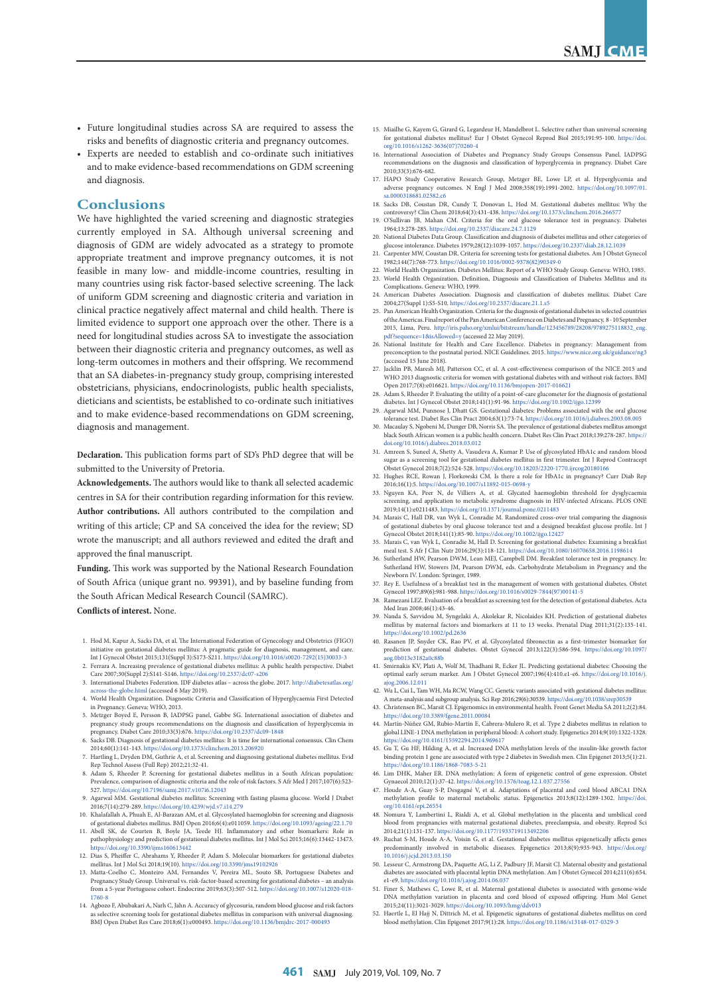- Future longitudinal studies across SA are required to assess the risks and benefits of diagnostic criteria and pregnancy outcomes.
- Experts are needed to establish and co-ordinate such initiatives and to make evidence-based recommendations on GDM screening and diagnosis.

### **Conclusions**

We have highlighted the varied screening and diagnostic strategies currently employed in SA. Although universal screening and diagnosis of GDM are widely advocated as a strategy to promote appropriate treatment and improve pregnancy outcomes, it is not feasible in many low- and middle-income countries, resulting in many countries using risk factor-based selective screening. The lack of uniform GDM screening and diagnostic criteria and variation in clinical practice negatively affect maternal and child health. There is limited evidence to support one approach over the other. There is a need for longitudinal studies across SA to investigate the association between their diagnostic criteria and pregnancy outcomes, as well as long-term outcomes in mothers and their offspring. We recommend that an SA diabetes-in-pregnancy study group, comprising interested obstetricians, physicians, endocrinologists, public health specialists, dieticians and scientists, be established to co-ordinate such initiatives and to make evidence-based recommendations on GDM screening, diagnosis and management.

**Declaration.** This publication forms part of SD's PhD degree that will be submitted to the University of Pretoria.

**Acknowledgements.** The authors would like to thank all selected academic centres in SA for their contribution regarding information for this review. **Author contributions.** All authors contributed to the compilation and writing of this article; CP and SA conceived the idea for the review; SD wrote the manuscript; and all authors reviewed and edited the draft and approved the final manuscript.

**Funding.** This work was supported by the National Research Foundation of South Africa (unique grant no. 99391), and by baseline funding from the South African Medical Research Council (SAMRC).

**Conflicts of interest.** None.

- 1. Hod M, Kapur A, Sacks DA, et al. The International Federation of Gynecology and Obstetrics (FIGO) gestational diabetes mellitus: A pragmatic guide for diagnosis, management, and care Int J Gynecol Obstet 2015;131(Suppl 3):S173-S211. [https://doi.org/10.1016/s0020-7292\(15\)30033-3](https://doi.org/10.1016/s0020-7292(15)30033-3)
- 2. Ferrara A. Increasing prevalence of gestational diabetes mellitus: A public health perspective. Diabet Care 2007;30(Suppl 2):S141-S146. https://doi.org/10.2337/dc07-s206
- 3. International Diabetes Federation. IDF diabetes atlas across the globe. 2017. [http://diabetesatlas.org/](http://diabetesatlas.org/across-the-globe.html) ss-the-globe.html (accessed 6 May 2019). 4. World Health Organization. Diagnostic Criteria and Classification of Hyperglycaemia First Detected
- in Pregnancy. Geneva: WHO, 2013. 5. Metzger Boyed E, Persson B, IADPSG panel, Gabbe SG. International association of diabetes and
- pregnancy study groups recommendations on the diagnosis and classification of hyperglycemia in pregnancy. Diabet Care 2010;33(3):676. https://doi.org/10.2337/dc09-1848 6. Sacks DB. Diagnosis of gestational diabetes mellitus: It is time for international consensus. Clin Chem
- 2014;60(1):141-143. https://doi.org/10.1373/clinchem.2013.206920
- 7. Hartling L, Dryden DM, Guthrie A, et al. Screening and diagnosing gestational diabetes mellitus. Evid Rep Technol Assess (Full Rep) 2012;21:32-41. 8. Adam S, Rheeder P. Screening for gestational diabetes mellitus in a South African population:
- Prevalence, comparison of diagnostic criteria and the role of risk factors. S Afr Med J 2017;107(6):523- 527. https://doi.org/10.7196/samj.2017.v107i6.12043
- 9. Agarwal MM. Gestational diabetes mellitus: Screening with fasting plasma glucose. World J Diabet 2016;7(14):279-289. https://doi.org/10.4239/wjd.v7.i14.279
- 10. Khalafallah A, Phuah E, Al-Barazan AM, et al. Glycosylated haemoglobin for screening and diagnosis of gestational diabetes mellitus. BMJ Open 2016;6(4):e011059. https://doi.org/10.1093/ageing/22.1.70
- 11. Abell SK, de Courten B, Boyle JA, Teede HJ. Inflammatory and other biomarkers: Role in pathophysiology and prediction of gestational diabetes mellitus. Int J Mol Sci 2015;16(6):13442-13473. https://doi.org/10.3390/ijms160613442
- 12. Dias S, Pheiffer C, Abrahams Y, Rheeder P, Adam S. Molecular biomarkers for gestational diabetes mellitus. Int J Mol Sci 2018;19(10). https://doi.org/10.3390/jms19102926 13. Matta-Coelho C, Monteiro AM, Fernandes V, Pereira ML, Souto SB, Portuguese Diabetes and
- Pregnancy Study Group. Universal vs. risk-factor-based screening for gestational diabetes an analysis from a 5-year Portuguese cohort. Endocrine 2019;63(3):507-512. [https://doi.org/10.1007/s12020-018-](https://doi.org/10.1007/s12020-018-1760-8 ) [1760-8](https://doi.org/10.1007/s12020-018-1760-8 )
- 14. Agbozo F, Abubakari A, Narh C, Jahn A. Accuracy of glycosuria, random blood glucose and risk factors selective screening tools for gestational diabetes mellitus in comparison with universal diagnosing. BMJ Open Diabet Res Care 2018;6(1):e000493. https://doi.org/10.1136/bmjdrc-2017-000493
- 15. Miailhe G, Kayem G, Girard G, Legardeur H, Mandelbrot L. Selective rather than universal screening for gestational diabetes mellitus? Eur J Obstet Gynecol Reprod Biol 2015;191:95-100. [https://doi.](https://doi.org/10.1016/s1262-3636(07)70260-4 ) [org/10.1016/s1262-3636\(07\)70260-4](https://doi.org/10.1016/s1262-3636(07)70260-4 )
- 16. International Association of Diabetes and Pregnancy Study Groups Consensus Panel. IADPSG recommendations on the diagnosis and classification of hyperglycemia in pregnancy. Diabet Care 2010;33(3):676-682.
- 17. HAPO Study Cooperative Research Group, Metzger BE, Lowe LP, et al. Hyperglycen adverse pregnancy outcomes. N Engl J Med 2008;358(19):1991-2002. [https://doi.org/10.1097/01.](https://doi.org/10.1097/01.sa.0000318681.02582.c6  ) [sa.0000318681.02582.c6](https://doi.org/10.1097/01.sa.0000318681.02582.c6  )
- 18. Sacks DB, Coustan DR, Cundy T, Donovan L, Hod M. Gestational diabetes mellitus: Why the controversy? Clin Chem 2018;64(3):431-438. https://doi.org/10.1373/clinchem.2016.266577
- 19. O'Sullivan JB, Mahan CM. Criteria for the oral glucose tolerance test in pregnancy. Diabetes 1964;13:278-285. https://doi.org/10.2337/diacare.24.7.1129 20. National Diabetes Data Group. Classification and diagnosis of diabetes mellitus and other categories of
- glucose intolerance. Diabetes 1979;28(12):1039-1057. https://doi.org/10.2337/diab.28.12.1039 21. Carpenter MW, Coustan DR. Criteria for screening tests for gestational diabetes. Am J Obstet Gynecol 1982;144(7):768-773. [https://doi.org/10.1016/0002-9378\(82\)90349-0](https://doi.org/10.1016/0002-9378(82)90349-0)
- 22. World Health Organization. Diabetes Mellitus: Report of a WHO Study Group. Geneva: WHO, 1985. 23. World Health Organization. Definition, Diagnosis and Classification of Diabetes Mellitus and its
- Complications. Geneva: WHO, 1999. 24. American Diabetes Association. Diagnosis and classification of diabetes mellitus. Diabet Care
- 2004;27(Suppl 1):S5-S10. https://doi.org/10.2337/diacare.21.1.s5 ation. Criteria for the diagnosis of gestational diabetes in selected countries of the Americas. Final report of the Pan American Conference on Diabetes and Pregnancy, 8 - 10 September 2015, Lima, Peru. [http://iris.paho.org/xmlui/bitstream/handle/123456789/28208/9789275118832\\_eng.](http://iris.paho.org/xmlui/bitstream/handle/123456789/28208/9789275118832_eng.pdf?sequence=1&isAllowed=y) [pdf?sequence=1&isAllowed=y](http://iris.paho.org/xmlui/bitstream/handle/123456789/28208/9789275118832_eng.pdf?sequence=1&isAllowed=y) (accessed 22 May 2019).
- 26. National Institute for Health and Care Excellence. Diabetes in pregnancy: Management from preconception to the postnatal period. NICE Guidelines. 2015. [https://www.nice.org.uk/guidance/ng3](https://www.nice.org.uk/guidance/ng3 ) accessed 15 June 2018).
- 27. Jacklin PB, Maresh MJ, Patterson CC, et al. A cost-effectiveness comparison of the NICE 2015 and WHO 2013 diagnostic criteria for women with gestational diabetes with and without risk factors. BMJ Open 2017;7(8):e016621. https://doi.org/10.1136/bmjopen-2017-016621
- 28. Adam S, Rheeder P. Evaluating the utility of a point-of-care glucometer for the diagnosis of gestational diabetes. Int J Gynecol Obstet 2018;141(1):91-96. https://doi.org/10.1002/ijgo.12399
- 29. Agarwal MM, Punnose J, Dhatt GS. Gestational diabetes: Problems associated with the oral glucose tolerance test. Diabet Res Clin Pract 2004;63(1):73-74. https://doi.org/10.1016/j.diabres.2003.08.005
- 30. Macaulay S, Ngobeni M, Dunger DB, Norris SA. The prevalence of gestational diabetes mellitus amongst black South African women is a public health concern. Diabet Res Clin Pract 2018;139:278-287. [https://](https://doi.org/10.1016/j.diabres.2018.03.012  ) [doi.org/10.1016/j.diabres.2018.03.012](https://doi.org/10.1016/j.diabres.2018.03.012  )  31. Amreen S, Suneel A, Shetty A, Vasudeva A, Kumar P. Use of glycosylated HbA1c and random blood
- sugar as a screening tool for gestational diabetes mellitus in first trimester. Int J Reprod Contracept Obstet Gynecol 2018;7(2):524-528. https://doi.org/10.18203/2320-1770.ijrcog20180166
- 32. Hughes RCE, Rowan J, Florkowski CM. Is there a role for HbA1c in pregnancy? Curr Diab Rep 2016;16(1):5. https://doi.org/10.1007/s11892-015-0698-y
- 33. Nguyen KA, Peer N, de Villiers A, et al. Glycated haemoglobin threshold for dysglycaemia screening, and application to metabolic syndrome diagnosis in HIV-infected Africans. PLOS ONE 2019;14(1):e0211483. https://doi.org/10.1371/journal.pone.0211483 34. Marais C, Hall DR, van Wyk L, Conradie M. Randomized cross-over trial comparing the diagnosis
- of gestational diabetes by oral glucose tolerance test and a designed breakfast glucose profile. Int J Gynecol Obstet 2018;141(1):85-90. https://doi.org/10.1002/ijgo.12427
- 35. Marais C, van Wyk L, Conradie M, Hall D. Screening for gestational diabetes: Examining a breakfast meal test. S Afr J Clin Nutr 2016;29(3):118-121. https://doi.org/10.1080/16070658.2016.1198614
- 36. Sutherland HW, Pearson DWM, Lean MEJ, Campbell DM. Breakfast tolerance test in pregnancy. In: Sutherland HW, Stowers JM, Pearson DWM, eds. Carbohydrate Metabolism in Pregnancy and the Newborn IV. London: Springer, 1989.
- 37. Rey E. Usefulness of a breakfast test in the management of women with gestational diabetes. Obstet Gynecol 1997;89(6):981-988. [https://doi.org/10.1016/s0029-7844\(97\)00141-5](https://doi.org/10.1016/s0029-7844(97)00141-5 ) 38. Ramezani LEZ. Evaluation of a breakfast as screening test for the detection of gestational diabetes. Acta
- Med Iran 2008;46(1):43-46.
- 39. Nanda S, Savvidou M, Syngelaki A, Akolekar R, Nicolaides KH. Prediction of gestational diabetes mellitus by maternal factors and biomarkers at 11 to 13 weeks. Prenatal Diag 2011;31(2):135-141. https://doi.org/10.1002/pd.2636
- 40. Rasanen JP, Snyder CK, Rao PV, et al. Glycosylated fibronectin as a first-trimester biomarker for prediction of gestational diabetes. Obstet Gynecol 2013;122(3):586-594. [https://doi.org/10.1097/](https://doi.org/10.1097/aog.0b013e3182a0c88b ) [aog.0b013e3182a0c88b](https://doi.org/10.1097/aog.0b013e3182a0c88b )
- 41. Smirnakis KV, Plati A, Wolf M, Thadhani R, Ecker JL. Predicting gestational diabetes: Choosing the optimal early serum marker. Am J Obstet Gynecol 2007;196(4):410.e1-e6. [https://doi.org/10.1016/j.](https://doi.org/10.1016/j.ajog.2006.12.011 ) [ajog.2006.12.011](https://doi.org/10.1016/j.ajog.2006.12.011 )
- 42. Wu L, Cui L, Tam WH, Ma RCW, Wang CC. Genetic variants associated with gestational diabetes mellitus: A meta-analysis and subgroup analysis. Sci Rep 2016;29(6):30539. https://doi.org/10.1038/srep30539
- 43. Christensen BC, Marsit CJ. Epigenomics in environmental health. Front Genet Media SA 2011;2(2):84. https://doi.org/10.3389/fgene.2011.00084 44. Martín-Núñez GM, Rubio-Martín E, Cabrera-Mulero R, et al. Type 2 diabetes mellitus in relation to
- global LINE-1 DNA methylation in peripheral blood: A cohort study. Epigenetics 2014;9(10):1322-1328. https://doi.org/10.4161/15592294.2014.969617
- 45. Gu T, Gu HF, Hilding A, et al. Increased DNA methylation levels of the insulin-like growth factor binding protein 1 gene are associated with type 2 diabetes in Swedish men. Clin Epigenet 2013;5(1):21. https://doi.org/10.1186/1868-7083-5-21 46. Lim DHK, Maher ER. DNA methylation: A form of epigenetic control of gene expression. Obstet
- Gynaecol 2010;12(1):37-42. https://doi.org/10.1576/toag.12.1.037.27556 47. Houde A-A, Guay S-P, Desgagné V, et al. Adaptations of placental and cord blood ABCA1 DNA
- methylation profile to maternal metabolic status. Epigenetics 2013;8(12):1289-1302. [https://doi.](https://doi.org/10.4161/epi.26554 ) [org/10.4161/epi.26554](https://doi.org/10.4161/epi.26554 )
- 48. Nomura Y, Lambertini L, Rialdi A, et al. Global methylation in the placenta and umbilical cord blood from pregnancies with maternal gestational diabetes, preeclampsia, and obesity. Reprod Sci 2014;21(1):131-137. https://doi.org/10.1177/1933719113492206 49. Ruchat S-M, Houde A-A, Voisin G, et al. Gestational diabetes mellitus epigenetically affects genes
- predominantly involved in metabolic diseases. Epigenetics 2013;8(9):935-943. [https://doi.org/](https://doi.org/-10.1016/j.jcjd.2013.03.150 ) [10.1016/j.jcjd.2013.03.150](https://doi.org/-10.1016/j.jcjd.2013.03.150 )
- 50. Lesseur C, Armstrong DA, Paquette AG, Li Z, Padbury JF, Marsit CJ. Maternal obesity and gestational diabetes are associated with placental leptin DNA methylation. Am J Obstet Gynecol 2014;211(6):654. e1-e9. https://doi.org/10.1016/j.ajog.2014.06.037
- 51. Finer S, Mathews C, Lowe R, et al. Maternal gestational diabetes is associated with gen DNA methylation variation in placenta and cord blood of exposed offspring. Hum Mol Genet 2015;24(11):3021-3029. https://doi.org/10.1093/hmg/ddv013
- 52. Haertle L, El Hajj N, Dittrich M, et al. Epigenetic signatures of gestational diabetes mellitus on cord blood methylation. Clin Epigenet 2017;9(1):28. https://doi.org/10.1186/s13148-017-0329-3